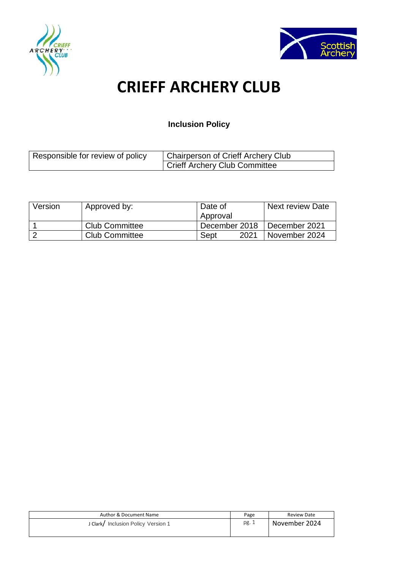



# **CRIEFF ARCHERY CLUB**

# **Inclusion Policy**

| Responsible for review of policy | Chairperson of Crieff Archery Club |  |
|----------------------------------|------------------------------------|--|
|                                  | Crieff Archery Club Committee      |  |

| Version | Approved by:          | Date of       | <b>Next review Date</b> |
|---------|-----------------------|---------------|-------------------------|
|         |                       | Approval      |                         |
|         | <b>Club Committee</b> | December 2018 | l December 2021         |
|         | <b>Club Committee</b> | 2021<br>Sept  | November 2024           |

| Author & Document Name             | Page  | Review Date   |
|------------------------------------|-------|---------------|
| J Clark/Inclusion Policy Version 1 | pg. 1 | November 2024 |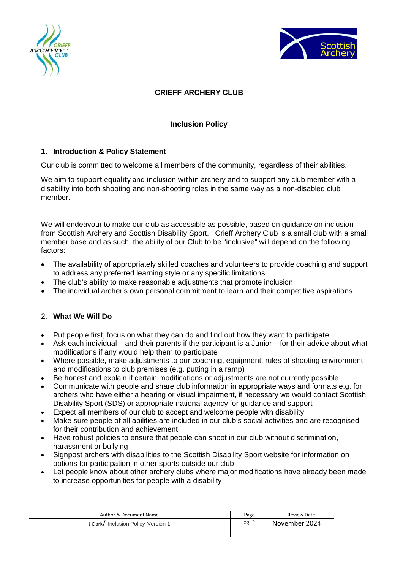



# **CRIEFF ARCHERY CLUB**

# **Inclusion Policy**

# **1. Introduction & Policy Statement**

Our club is committed to welcome all members of the community, regardless of their abilities.

We aim to support equality and inclusion within archery and to support any club member with a disability into both shooting and non-shooting roles in the same way as a non-disabled club member.

We will endeavour to make our club as accessible as possible, based on guidance on inclusion from Scottish Archery and Scottish Disability Sport. Crieff Archery Club is a small club with a small member base and as such, the ability of our Club to be "inclusive" will depend on the following factors:

- The availability of appropriately skilled coaches and volunteers to provide coaching and support to address any preferred learning style or any specific limitations
- The club's ability to make reasonable adjustments that promote inclusion
- The individual archer's own personal commitment to learn and their competitive aspirations

# 2. **What We Will Do**

- Put people first, focus on what they can do and find out how they want to participate
- Ask each individual and their parents if the participant is a Junior for their advice about what modifications if any would help them to participate
- Where possible, make adjustments to our coaching, equipment, rules of shooting environment and modifications to club premises (e.g. putting in a ramp)
- Be honest and explain if certain modifications or adjustments are not currently possible
- Communicate with people and share club information in appropriate ways and formats e.g. for archers who have either a hearing or visual impairment, if necessary we would contact Scottish Disability Sport (SDS) or appropriate national agency for guidance and support
- Expect all members of our club to accept and welcome people with disability
- Make sure people of all abilities are included in our club's social activities and are recognised for their contribution and achievement
- Have robust policies to ensure that people can shoot in our club without discrimination, harassment or bullying
- Signpost archers with disabilities to the Scottish Disability Sport website for information on options for participation in other sports outside our club
- Let people know about other archery clubs where major modifications have already been made to increase opportunities for people with a disability

| Author & Document Name              | Page  | Review Date   |
|-------------------------------------|-------|---------------|
| J Clark/ Inclusion Policy Version 1 | pg. 2 | November 2024 |